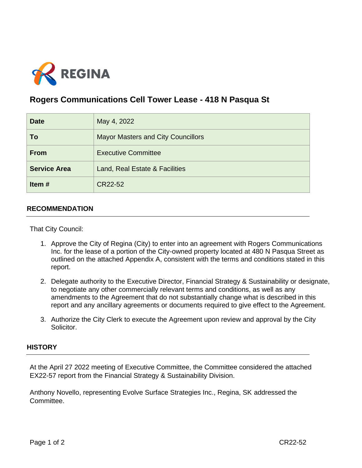

## **Rogers Communications Cell Tower Lease - 418 N Pasqua St**

| <b>Date</b>         | May 4, 2022                               |
|---------------------|-------------------------------------------|
| To                  | <b>Mayor Masters and City Councillors</b> |
| <b>From</b>         | <b>Executive Committee</b>                |
| <b>Service Area</b> | Land, Real Estate & Facilities            |
| Item#               | CR22-52                                   |

## **RECOMMENDATION**

That City Council:

- 1. Approve the City of Regina (City) to enter into an agreement with Rogers Communications Inc. for the lease of a portion of the City-owned property located at 480 N Pasqua Street as outlined on the attached Appendix A, consistent with the terms and conditions stated in this report.
- 2. Delegate authority to the Executive Director, Financial Strategy & Sustainability or designate, to negotiate any other commercially relevant terms and conditions, as well as any amendments to the Agreement that do not substantially change what is described in this report and any ancillary agreements or documents required to give effect to the Agreement.
- 3. Authorize the City Clerk to execute the Agreement upon review and approval by the City Solicitor.

## **HISTORY**

At the April 27 2022 meeting of Executive Committee, the Committee considered the attached EX22-57 report from the Financial Strategy & Sustainability Division.

Anthony Novello, representing Evolve Surface Strategies Inc., Regina, SK addressed the Committee.